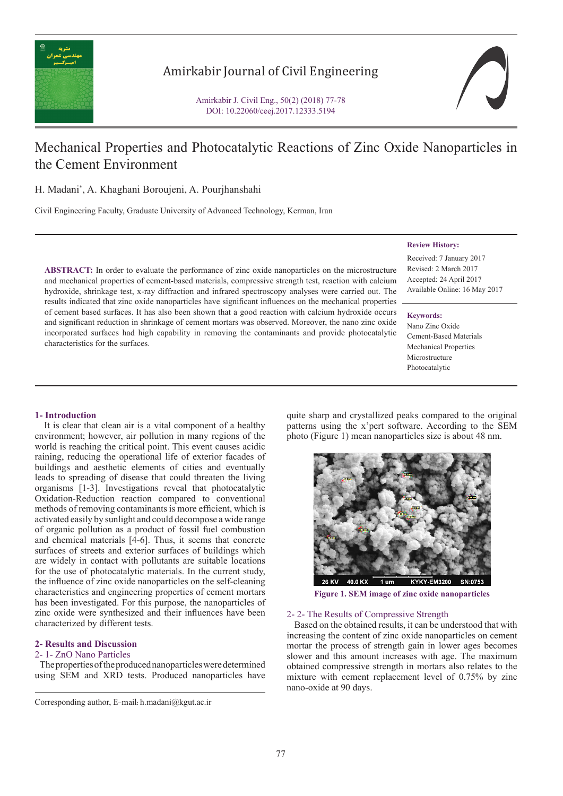

# Amirkabir Journal of Civil Engineering

Amirkabir J. Civil Eng., 50(2) (2018) 77-78 DOI: 10.22060/ceej.2017.12333.5194

# Mechanical Properties and Photocatalytic Reactions of Zinc Oxide Nanoparticles in the Cement Environment

H. Madani\* , A. Khaghani Boroujeni, A. Pourjhanshahi

Civil Engineering Faculty, Graduate University of Advanced Technology, Kerman, Iran

**ABSTRACT:** In order to evaluate the performance of zinc oxide nanoparticles on the microstructure and mechanical properties of cement-based materials, compressive strength test, reaction with calcium hydroxide, shrinkage test, x-ray diffraction and infrared spectroscopy analyses were carried out. The results indicated that zinc oxide nanoparticles have significant influences on the mechanical properties of cement based surfaces. It has also been shown that a good reaction with calcium hydroxide occurs and significant reduction in shrinkage of cement mortars was observed. Moreover, the nano zinc oxide incorporated surfaces had high capability in removing the contaminants and provide photocatalytic characteristics for the surfaces.

# **Review History:**

Received: 7 January 2017 Revised: 2 March 2017 Accepted: 24 April 2017 Available Online: 16 May 2017

#### **Keywords:**

Nano Zinc Oxide Cement-Based Materials Mechanical Properties Microstructure Photocatalytic

# **1- Introduction**

 It is clear that clean air is a vital component of a healthy environment; however, air pollution in many regions of the world is reaching the critical point. This event causes acidic raining, reducing the operational life of exterior facades of buildings and aesthetic elements of cities and eventually leads to spreading of disease that could threaten the living organisms [1-3]. Investigations reveal that photocatalytic Oxidation-Reduction reaction compared to conventional methods of removing contaminants is more efficient, which is activated easily by sunlight and could decompose a wide range of organic pollution as a product of fossil fuel combustion and chemical materials [4-6]. Thus, it seems that concrete surfaces of streets and exterior surfaces of buildings which are widely in contact with pollutants are suitable locations for the use of photocatalytic materials. In the current study, the influence of zinc oxide nanoparticles on the self-cleaning characteristics and engineering properties of cement mortars has been investigated. For this purpose, the nanoparticles of zinc oxide were synthesized and their influences have been characterized by different tests.

### **2- Results and Discussion**

#### 2- 1- ZnO Nano Particles

 The properties of the produced nanoparticles were determined using SEM and XRD tests. Produced nanoparticles have

quite sharp and crystallized peaks compared to the original patterns using the x'pert software. According to the SEM photo (Figure 1) mean nanoparticles size is about 48 nm.



**Figure 1. SEM image of zinc oxide nanoparticles**

### 2- 2- The Results of Compressive Strength

 Based on the obtained results, it can be understood that with increasing the content of zinc oxide nanoparticles on cement mortar the process of strength gain in lower ages becomes slower and this amount increases with age. The maximum obtained compressive strength in mortars also relates to the mixture with cement replacement level of 0.75% by zinc nano-oxide at 90 days.

Corresponding author, E-mail: h.madani@kgut.ac.ir